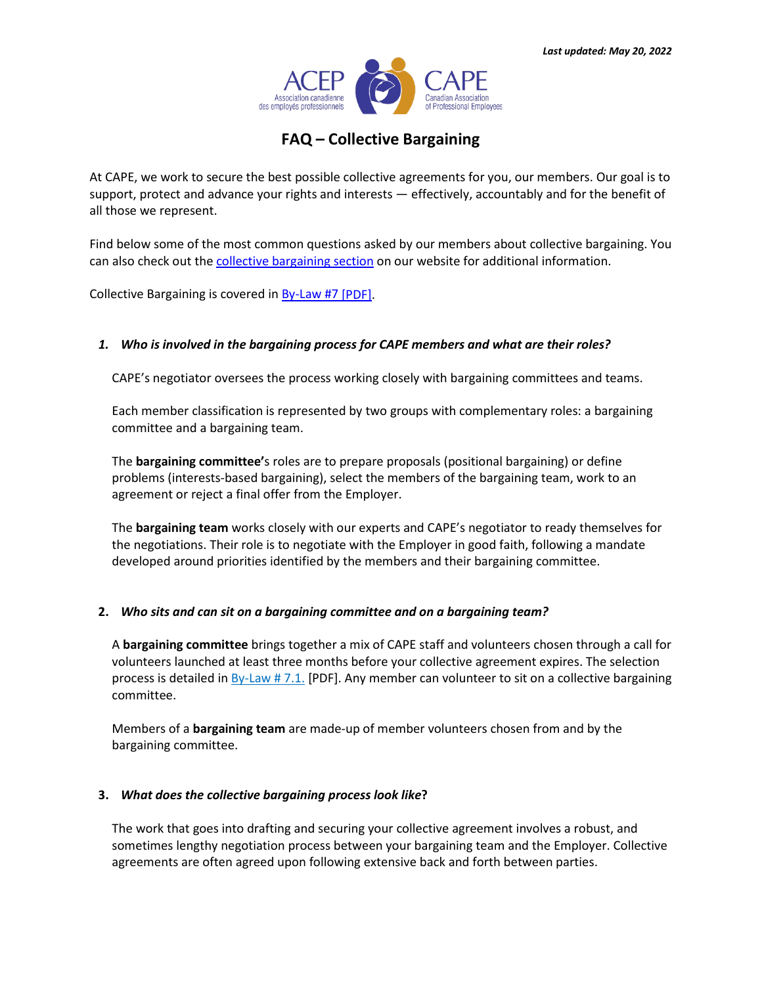

# **FAQ – Collective Bargaining**

At CAPE, we work to secure the best possible collective agreements for you, our members. Our goal is to support, protect and advance your rights and interests — effectively, accountably and for the benefit of all those we represent.

Find below some of the most common questions asked by our members about collective bargaining. You can also check out the [collective bargaining section](https://www.acep-cape.ca/en/collective-agreement) on our website for additional information.

Collective Bargaining is covered in [By-Law #7](https://www.acep-cape.ca/sites/default/files/2021-08/By-Laws%20-%20UPDATED%2025%20JUNE%202021%20-%20FINAL%20-%20EN.pdf) [PDF].

# *1. Who is involved in the bargaining process for CAPE members and what are their roles?*

CAPE's negotiator oversees the process working closely with bargaining committees and teams.

Each member classification is represented by two groups with complementary roles: a bargaining committee and a bargaining team.

The **bargaining committee'**s roles are to prepare proposals (positional bargaining) or define problems (interests-based bargaining), select the members of the bargaining team, work to an agreement or reject a final offer from the Employer.

The **bargaining team** works closely with our experts and CAPE's negotiator to ready themselves for the negotiations. Their role is to negotiate with the Employer in good faith, following a mandate developed around priorities identified by the members and their bargaining committee.

# **2.** *Who sits and can sit on a bargaining committee and on a bargaining team?*

A **bargaining committee** brings together a mix of CAPE staff and volunteers chosen through a call for volunteers launched at least three months before your collective agreement expires. The selection process is detailed i[n By-Law # 7.1.](https://www.acep-cape.ca/sites/default/files/2021-08/By-Laws%20-%20UPDATED%2025%20JUNE%202021%20-%20FINAL%20-%20EN.pdf) [PDF]. Any member can volunteer to sit on a collective bargaining committee.

Members of a **bargaining team** are made-up of member volunteers chosen from and by the bargaining committee.

### **3.** *What does the collective bargaining process look like***?**

The work that goes into drafting and securing your collective agreement involves a robust, and sometimes lengthy negotiation process between your bargaining team and the Employer. Collective agreements are often agreed upon following extensive back and forth between parties.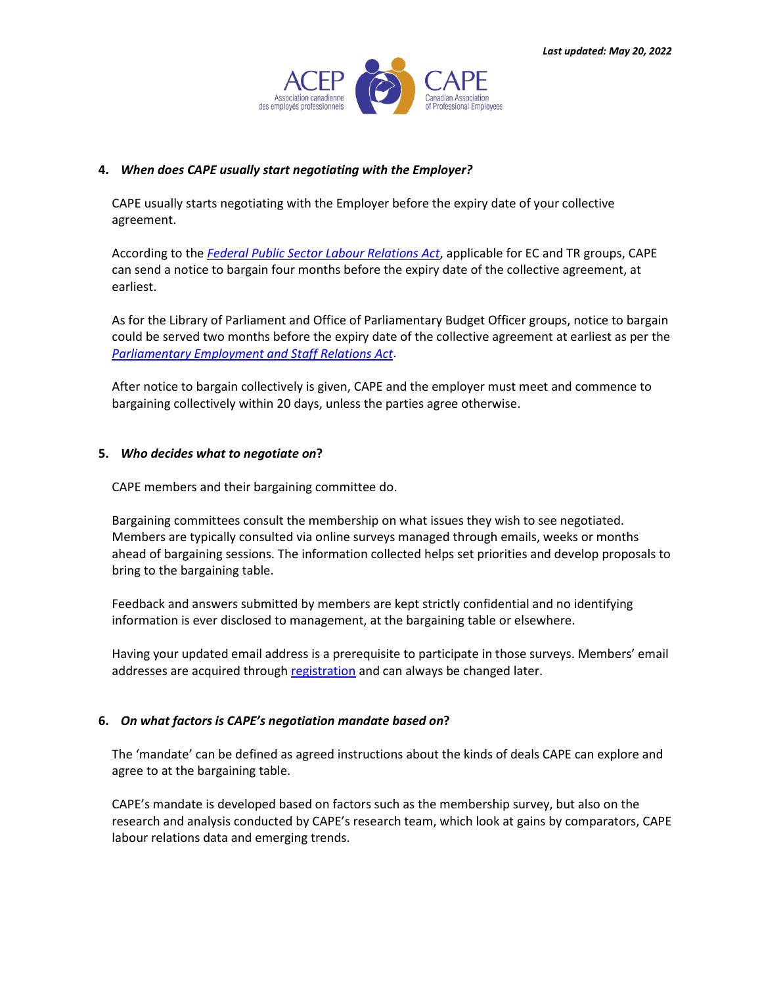

### **4.** *When does CAPE usually start negotiating with the Employer?*

CAPE usually starts negotiating with the Employer before the expiry date of your collective agreement.

According to the *[Federal Public Sector Labour Relations Act](https://laws-lois.justice.gc.ca/eng/acts/p-33.3/)*, applicable for EC and TR groups, CAPE can send a notice to bargain four months before the expiry date of the collective agreement, at earliest.

As for the Library of Parliament and Office of Parliamentary Budget Officer groups, notice to bargain could be served two months before the expiry date of the collective agreement at earliest as per the *[Parliamentary Employment and Staff Relations Act](https://laws-lois.justice.gc.ca/eng/acts/P-1.3/)*.

After notice to bargain collectively is given, CAPE and the employer must meet and commence to bargaining collectively within 20 days, unless the parties agree otherwise.

### **5.** *Who decides what to negotiate on***?**

CAPE members and their bargaining committee do.

Bargaining committees consult the membership on what issues they wish to see negotiated. Members are typically consulted via online surveys managed through emails, weeks or months ahead of bargaining sessions. The information collected helps set priorities and develop proposals to bring to the bargaining table.

Feedback and answers submitted by members are kept strictly confidential and no identifying information is ever disclosed to management, at the bargaining table or elsewhere.

Having your updated email address is a prerequisite to participate in those surveys. Members' email addresses are acquired through [registration](https://acep-cape-portal.microsoftcrmportals.com/en-US/portalregistration/) and can always be changed later.

# **6.** *On what factors is CAPE's negotiation mandate based on***?**

The 'mandate' can be defined as agreed instructions about the kinds of deals CAPE can explore and agree to at the bargaining table.

CAPE's mandate is developed based on factors such as the membership survey, but also on the research and analysis conducted by CAPE's research team, which look at gains by comparators, CAPE labour relations data and emerging trends.